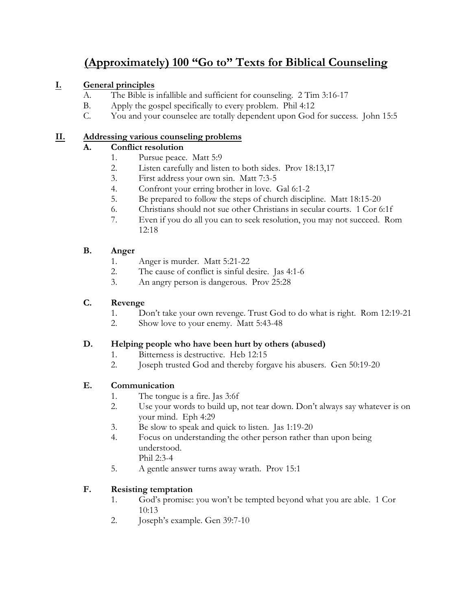# **(Approximately) 100 "Go to" Texts for Biblical Counseling**

# **I. General principles**

- A. The Bible is infallible and sufficient for counseling. 2 Tim 3:16-17
- B. Apply the gospel specifically to every problem. Phil 4:12
- C. You and your counselee are totally dependent upon God for success. John 15:5

# **II. Addressing various counseling problems**

# **A. Conflict resolution**

- 1. Pursue peace. Matt 5:9
- 2. Listen carefully and listen to both sides. Prov 18:13,17
- 3. First address your own sin. Matt 7:3-5
- 4. Confront your erring brother in love. Gal 6:1-2
- 5. Be prepared to follow the steps of church discipline. Matt 18:15-20
- 6. Christians should not sue other Christians in secular courts. 1 Cor 6:1f
- 7. Even if you do all you can to seek resolution, you may not succeed. Rom 12:18

## **B. Anger**

- 1. Anger is murder. Matt 5:21-22
- 2. The cause of conflict is sinful desire. Jas 4:1-6
- 3. An angry person is dangerous. Prov 25:28

# **C. Revenge**

- 1. Don't take your own revenge. Trust God to do what is right. Rom 12:19-21
- 2. Show love to your enemy. Matt 5:43-48

## **D. Helping people who have been hurt by others (abused)**

- 1. Bitterness is destructive. Heb 12:15
- 2. Joseph trusted God and thereby forgave his abusers. Gen 50:19-20

# **E. Communication**

- 1. The tongue is a fire. Jas 3:6f
- 2. Use your words to build up, not tear down. Don't always say whatever is on your mind. Eph 4:29
- 3. Be slow to speak and quick to listen. Jas 1:19-20
- 4. Focus on understanding the other person rather than upon being understood. Phil 2:3-4
- 5. A gentle answer turns away wrath. Prov 15:1

# **F. Resisting temptation**

- 1. God's promise: you won't be tempted beyond what you are able. 1 Cor 10:13
- 2. Joseph's example. Gen 39:7-10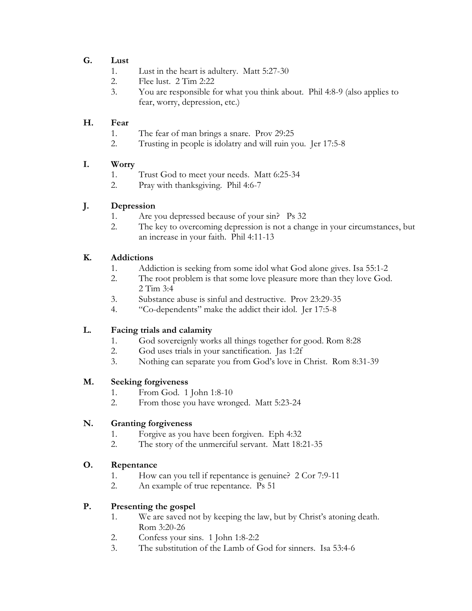## **G. Lust**

- 1. Lust in the heart is adultery. Matt 5:27-30
- 2. Flee lust. 2 Tim 2:22
- 3. You are responsible for what you think about. Phil 4:8-9 (also applies to fear, worry, depression, etc.)

### **H. Fear**

- 1. The fear of man brings a snare. Prov 29:25
- 2. Trusting in people is idolatry and will ruin you. Jer 17:5-8

## **I. Worry**

- 1. Trust God to meet your needs. Matt 6:25-34
- 2. Pray with thanksgiving. Phil 4:6-7

## **J. Depression**

- 1. Are you depressed because of your sin? Ps 32
- 2. The key to overcoming depression is not a change in your circumstances, but an increase in your faith. Phil 4:11-13

## **K. Addictions**

- 1. Addiction is seeking from some idol what God alone gives. Isa 55:1-2
- 2. The root problem is that some love pleasure more than they love God. 2 Tim 3:4
- 3. Substance abuse is sinful and destructive. Prov 23:29-35
- 4. "Co-dependents" make the addict their idol. Jer 17:5-8

## **L. Facing trials and calamity**

- 1. God sovereignly works all things together for good. Rom 8:28
- 2. God uses trials in your sanctification. Jas 1:2f<br>3. Nothing can separate you from God's love in
- 3. Nothing can separate you from God's love in Christ. Rom 8:31-39

#### **M. Seeking forgiveness**

- 1. From God. 1 John 1:8-10
- 2. From those you have wronged. Matt 5:23-24

#### **N. Granting forgiveness**

- 1. Forgive as you have been forgiven. Eph 4:32
- 2. The story of the unmerciful servant. Matt 18:21-35

#### **O. Repentance**

- 1. How can you tell if repentance is genuine? 2 Cor 7:9-11
- 2. An example of true repentance. Ps 51

## **P. Presenting the gospel**

- 1. We are saved not by keeping the law, but by Christ's atoning death. Rom 3:20-26
- 2. Confess your sins. 1 John 1:8-2:2
- 3. The substitution of the Lamb of God for sinners. Isa 53:4-6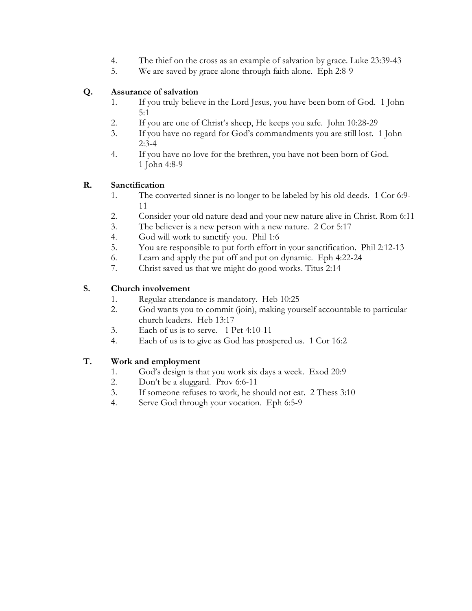- 4. The thief on the cross as an example of salvation by grace. Luke 23:39-43
- 5. We are saved by grace alone through faith alone. Eph 2:8-9

## **Q. Assurance of salvation**

- 1. If you truly believe in the Lord Jesus, you have been born of God. 1 John 5:1
- 2. If you are one of Christ's sheep, He keeps you safe. John 10:28-29
- 3. If you have no regard for God's commandments you are still lost. 1 John 2:3-4
- 4. If you have no love for the brethren, you have not been born of God. 1 John 4:8-9

## **R. Sanctification**

- 1. The converted sinner is no longer to be labeled by his old deeds. 1 Cor 6:9- 11
- 2. Consider your old nature dead and your new nature alive in Christ. Rom 6:11
- 3. The believer is a new person with a new nature. 2 Cor 5:17
- 4. God will work to sanctify you. Phil 1:6
- 5. You are responsible to put forth effort in your sanctification. Phil 2:12-13
- 6. Learn and apply the put off and put on dynamic. Eph 4:22-24
- 7. Christ saved us that we might do good works. Titus 2:14

## **S. Church involvement**

- 1. Regular attendance is mandatory. Heb 10:25
- 2. God wants you to commit (join), making yourself accountable to particular church leaders. Heb 13:17
- 3. Each of us is to serve. 1 Pet 4:10-11
- 4. Each of us is to give as God has prospered us. 1 Cor 16:2

## **T. Work and employment**

- 1. God's design is that you work six days a week. Exod 20:9
- 2. Don't be a sluggard. Prov 6:6-11
- 3. If someone refuses to work, he should not eat. 2 Thess 3:10
- 4. Serve God through your vocation. Eph 6:5-9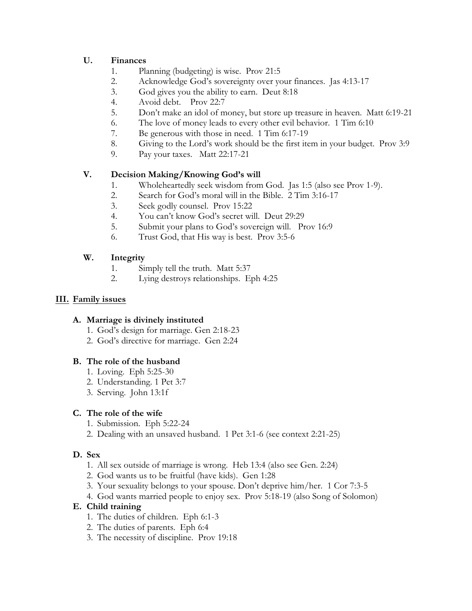## **U. Finances**

- 1. Planning (budgeting) is wise. Prov 21:5
- 2. Acknowledge God's sovereignty over your finances. Jas 4:13-17
- 3. God gives you the ability to earn. Deut 8:18
- 4. Avoid debt. Prov 22:7
- 5. Don't make an idol of money, but store up treasure in heaven. Matt 6:19-21
- 6. The love of money leads to every other evil behavior. 1 Tim 6:10
- 7. Be generous with those in need. 1 Tim 6:17-19
- 8. Giving to the Lord's work should be the first item in your budget. Prov 3:9
- 9. Pay your taxes. Matt 22:17-21

## **V. Decision Making/Knowing God's will**

- 1. Wholeheartedly seek wisdom from God. Jas 1:5 (also see Prov 1-9).
- 2. Search for God's moral will in the Bible. 2 Tim 3:16-17
- 3. Seek godly counsel. Prov 15:22
- 4. You can't know God's secret will. Deut 29:29
- 5. Submit your plans to God's sovereign will. Prov 16:9
- 6. Trust God, that His way is best. Prov 3:5-6

## **W. Integrity**

- 1. Simply tell the truth. Matt 5:37
- 2. Lying destroys relationships. Eph 4:25

## **III. Family issues**

#### **A. Marriage is divinely instituted**

- 1. God's design for marriage. Gen 2:18-23
- 2. God's directive for marriage. Gen 2:24

#### **B. The role of the husband**

- 1. Loving. Eph 5:25-30
- 2. Understanding. 1 Pet 3:7
- 3. Serving. John 13:1f

#### **C. The role of the wife**

- 1. Submission. Eph 5:22-24
- 2. Dealing with an unsaved husband. 1 Pet 3:1-6 (see context 2:21-25)

## **D. Sex**

- 1. All sex outside of marriage is wrong. Heb 13:4 (also see Gen. 2:24)
- 2. God wants us to be fruitful (have kids). Gen 1:28
- 3. Your sexuality belongs to your spouse. Don't deprive him/her. 1 Cor 7:3-5
- 4. God wants married people to enjoy sex. Prov 5:18-19 (also Song of Solomon)

#### **E. Child training**

- 1. The duties of children. Eph 6:1-3
- 2. The duties of parents. Eph 6:4
- 3. The necessity of discipline. Prov 19:18